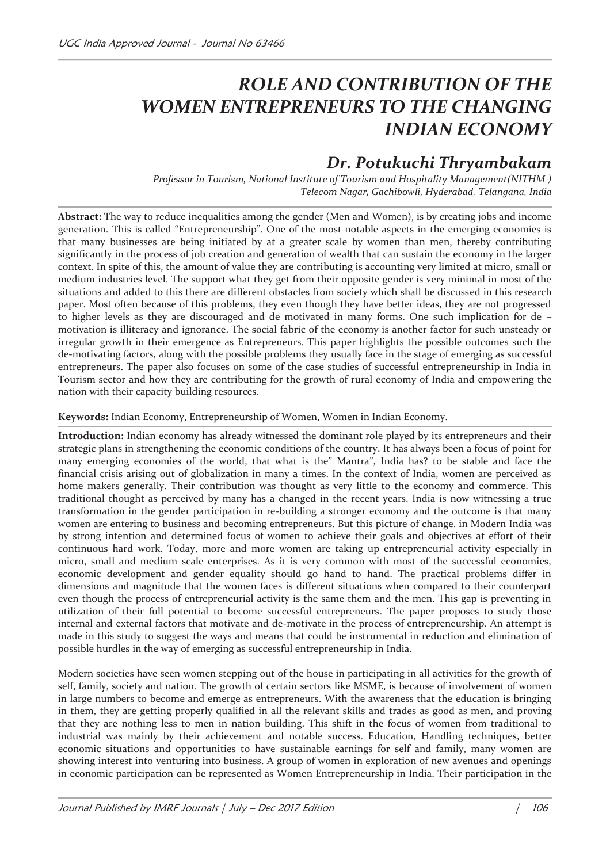# *ROLE AND CONTRIBUTION OF THE*  **WOMEN ENTREPRENEURS TO THE CHANGING** *INDIAN ECONOMY*

# *Dr. Potukuchi Thryambakam*

*Professor in Tourism, National Institute of Tourism and Hospitality Management(NITHM ) Telecom Nagar, Gachibowli, Hyderabad, Telangana, India* 

**Abstract:** The way to reduce inequalities among the gender (Men and Women), is by creating jobs and income generation. This is called "Entrepreneurship". One of the most notable aspects in the emerging economies is that many businesses are being initiated by at a greater scale by women than men, thereby contributing significantly in the process of job creation and generation of wealth that can sustain the economy in the larger context. In spite of this, the amount of value they are contributing is accounting very limited at micro, small or medium industries level. The support what they get from their opposite gender is very minimal in most of the situations and added to this there are different obstacles from society which shall be discussed in this research paper. Most often because of this problems, they even though they have better ideas, they are not progressed to higher levels as they are discouraged and de motivated in many forms. One such implication for de – motivation is illiteracy and ignorance. The social fabric of the economy is another factor for such unsteady or irregular growth in their emergence as Entrepreneurs. This paper highlights the possible outcomes such the de-motivating factors, along with the possible problems they usually face in the stage of emerging as successful entrepreneurs. The paper also focuses on some of the case studies of successful entrepreneurship in India in Tourism sector and how they are contributing for the growth of rural economy of India and empowering the nation with their capacity building resources.

#### **Keywords:** Indian Economy, Entrepreneurship of Women, Women in Indian Economy.

**Introduction:** Indian economy has already witnessed the dominant role played by its entrepreneurs and their strategic plans in strengthening the economic conditions of the country. It has always been a focus of point for many emerging economies of the world, that what is the" Mantra", India has? to be stable and face the financial crisis arising out of globalization in many a times. In the context of India, women are perceived as home makers generally. Their contribution was thought as very little to the economy and commerce. This traditional thought as perceived by many has a changed in the recent years. India is now witnessing a true transformation in the gender participation in re-building a stronger economy and the outcome is that many women are entering to business and becoming entrepreneurs. But this picture of change. in Modern India was by strong intention and determined focus of women to achieve their goals and objectives at effort of their continuous hard work. Today, more and more women are taking up entrepreneurial activity especially in micro, small and medium scale enterprises. As it is very common with most of the successful economies, economic development and gender equality should go hand to hand. The practical problems differ in dimensions and magnitude that the women faces is different situations when compared to their counterpart even though the process of entrepreneurial activity is the same them and the men. This gap is preventing in utilization of their full potential to become successful entrepreneurs. The paper proposes to study those internal and external factors that motivate and de-motivate in the process of entrepreneurship. An attempt is made in this study to suggest the ways and means that could be instrumental in reduction and elimination of possible hurdles in the way of emerging as successful entrepreneurship in India.

Modern societies have seen women stepping out of the house in participating in all activities for the growth of self, family, society and nation. The growth of certain sectors like MSME, is because of involvement of women in large numbers to become and emerge as entrepreneurs. With the awareness that the education is bringing in them, they are getting properly qualified in all the relevant skills and trades as good as men, and proving that they are nothing less to men in nation building. This shift in the focus of women from traditional to industrial was mainly by their achievement and notable success. Education, Handling techniques, better economic situations and opportunities to have sustainable earnings for self and family, many women are showing interest into venturing into business. A group of women in exploration of new avenues and openings in economic participation can be represented as Women Entrepreneurship in India. Their participation in the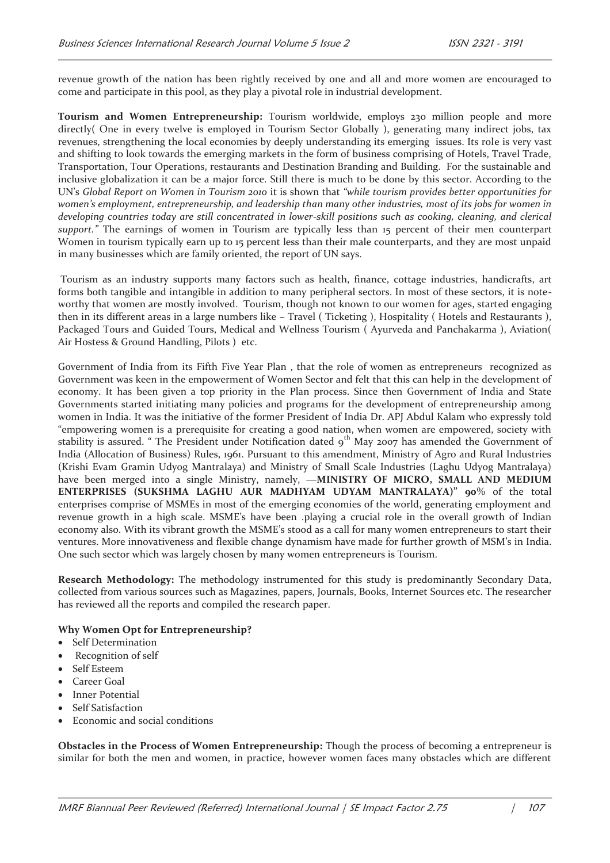revenue growth of the nation has been rightly received by one and all and more women are encouraged to come and participate in this pool, as they play a pivotal role in industrial development.

**Tourism and Women Entrepreneurship:** Tourism worldwide, employs 230 million people and more directly( One in every twelve is employed in Tourism Sector Globally ), generating many indirect jobs, tax revenues, strengthening the local economies by deeply understanding its emerging issues. Its role is very vast and shifting to look towards the emerging markets in the form of business comprising of Hotels, Travel Trade, Transportation, Tour Operations, restaurants and Destination Branding and Building. For the sustainable and inclusive globalization it can be a major force. Still there is much to be done by this sector. According to the UN's *Global Report on Women in Tourism 2010* it is shown that *"while tourism provides better opportunities for women's employment, entrepreneurship, and leadership than many other industries, most of its jobs for women in developing countries today are still concentrated in lower-skill positions such as cooking, cleaning, and clerical support."* The earnings of women in Tourism are typically less than 15 percent of their men counterpart Women in tourism typically earn up to 15 percent less than their male counterparts, and they are most unpaid in many businesses which are family oriented, the report of UN says.

 Tourism as an industry supports many factors such as health, finance, cottage industries, handicrafts, art forms both tangible and intangible in addition to many peripheral sectors. In most of these sectors, it is noteworthy that women are mostly involved. Tourism, though not known to our women for ages, started engaging then in its different areas in a large numbers like – Travel ( Ticketing ), Hospitality ( Hotels and Restaurants ), Packaged Tours and Guided Tours, Medical and Wellness Tourism ( Ayurveda and Panchakarma ), Aviation( Air Hostess & Ground Handling, Pilots ) etc.

Government of India from its Fifth Five Year Plan , that the role of women as entrepreneurs recognized as Government was keen in the empowerment of Women Sector and felt that this can help in the development of economy. It has been given a top priority in the Plan process. Since then Government of India and State Governments started initiating many policies and programs for the development of entrepreneurship among women in India. It was the initiative of the former President of India Dr. APJ Abdul Kalam who expressly told "empowering women is a prerequisite for creating a good nation, when women are empowered, society with stability is assured. " The President under Notification dated 9<sup>th</sup> May 2007 has amended the Government of India (Allocation of Business) Rules, 1961. Pursuant to this amendment, Ministry of Agro and Rural Industries (Krishi Evam Gramin Udyog Mantralaya) and Ministry of Small Scale Industries (Laghu Udyog Mantralaya) have been merged into a single Ministry, namely, ―**MINISTRY OF MICRO, SMALL AND MEDIUM ENTERPRISES (SUKSHMA LAGHU AUR MADHYAM UDYAM MANTRALAYA)" 90**% of the total enterprises comprise of MSMEs in most of the emerging economies of the world, generating employment and revenue growth in a high scale. MSME's have been .playing a crucial role in the overall growth of Indian economy also. With its vibrant growth the MSME's stood as a call for many women entrepreneurs to start their ventures. More innovativeness and flexible change dynamism have made for further growth of MSM's in India. One such sector which was largely chosen by many women entrepreneurs is Tourism.

**Research Methodology:** The methodology instrumented for this study is predominantly Secondary Data, collected from various sources such as Magazines, papers, Journals, Books, Internet Sources etc. The researcher has reviewed all the reports and compiled the research paper.

## **Why Women Opt for Entrepreneurship?**

- · Self Determination
- Recognition of self
- · Self Esteem
- Career Goal
- Inner Potential
- · Self Satisfaction
- Economic and social conditions

**Obstacles in the Process of Women Entrepreneurship:** Though the process of becoming a entrepreneur is similar for both the men and women, in practice, however women faces many obstacles which are different